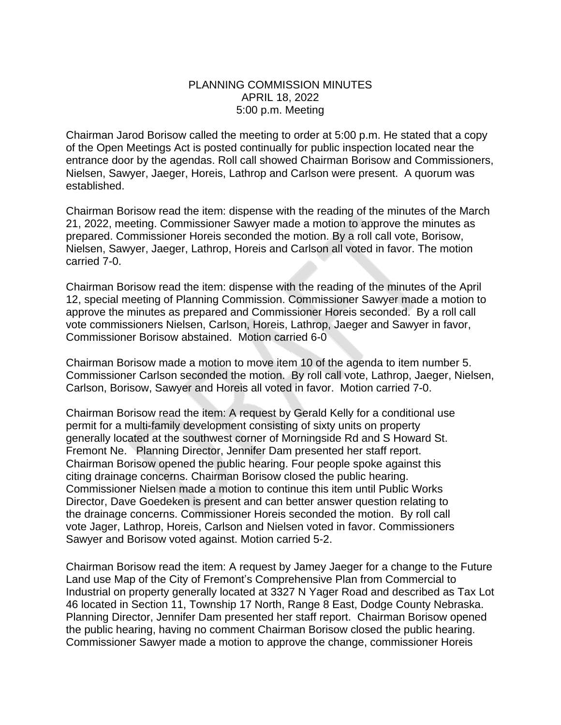## PLANNING COMMISSION MINUTES APRIL 18, 2022 5:00 p.m. Meeting

Chairman Jarod Borisow called the meeting to order at 5:00 p.m. He stated that a copy of the Open Meetings Act is posted continually for public inspection located near the entrance door by the agendas. Roll call showed Chairman Borisow and Commissioners, Nielsen, Sawyer, Jaeger, Horeis, Lathrop and Carlson were present. A quorum was established.

Chairman Borisow read the item: dispense with the reading of the minutes of the March 21, 2022, meeting. Commissioner Sawyer made a motion to approve the minutes as prepared. Commissioner Horeis seconded the motion. By a roll call vote, Borisow, Nielsen, Sawyer, Jaeger, Lathrop, Horeis and Carlson all voted in favor. The motion carried 7-0.

Chairman Borisow read the item: dispense with the reading of the minutes of the April 12, special meeting of Planning Commission. Commissioner Sawyer made a motion to approve the minutes as prepared and Commissioner Horeis seconded. By a roll call vote commissioners Nielsen, Carlson, Horeis, Lathrop, Jaeger and Sawyer in favor, Commissioner Borisow abstained. Motion carried 6-0

Chairman Borisow made a motion to move item 10 of the agenda to item number 5. Commissioner Carlson seconded the motion. By roll call vote, Lathrop, Jaeger, Nielsen, Carlson, Borisow, Sawyer and Horeis all voted in favor. Motion carried 7-0.

Chairman Borisow read the item: A request by Gerald Kelly for a conditional use permit for a multi-family development consisting of sixty units on property generally located at the southwest corner of Morningside Rd and S Howard St. Fremont Ne. Planning Director, Jennifer Dam presented her staff report. Chairman Borisow opened the public hearing. Four people spoke against this citing drainage concerns. Chairman Borisow closed the public hearing. Commissioner Nielsen made a motion to continue this item until Public Works Director, Dave Goedeken is present and can better answer question relating to the drainage concerns. Commissioner Horeis seconded the motion. By roll call vote Jager, Lathrop, Horeis, Carlson and Nielsen voted in favor. Commissioners Sawyer and Borisow voted against. Motion carried 5-2.

Chairman Borisow read the item: A request by Jamey Jaeger for a change to the Future Land use Map of the City of Fremont's Comprehensive Plan from Commercial to Industrial on property generally located at 3327 N Yager Road and described as Tax Lot 46 located in Section 11, Township 17 North, Range 8 East, Dodge County Nebraska. Planning Director, Jennifer Dam presented her staff report. Chairman Borisow opened the public hearing, having no comment Chairman Borisow closed the public hearing. Commissioner Sawyer made a motion to approve the change, commissioner Horeis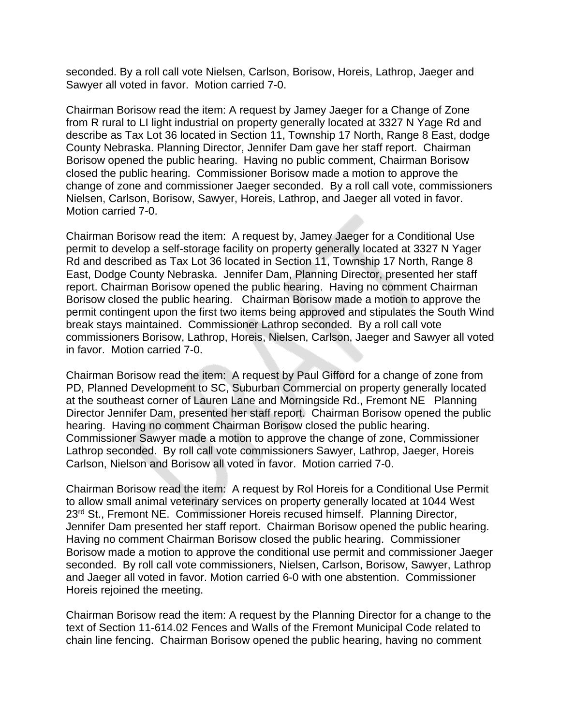seconded. By a roll call vote Nielsen, Carlson, Borisow, Horeis, Lathrop, Jaeger and Sawyer all voted in favor. Motion carried 7-0.

Chairman Borisow read the item: A request by Jamey Jaeger for a Change of Zone from R rural to LI light industrial on property generally located at 3327 N Yage Rd and describe as Tax Lot 36 located in Section 11, Township 17 North, Range 8 East, dodge County Nebraska. Planning Director, Jennifer Dam gave her staff report. Chairman Borisow opened the public hearing. Having no public comment, Chairman Borisow closed the public hearing. Commissioner Borisow made a motion to approve the change of zone and commissioner Jaeger seconded. By a roll call vote, commissioners Nielsen, Carlson, Borisow, Sawyer, Horeis, Lathrop, and Jaeger all voted in favor. Motion carried 7-0.

Chairman Borisow read the item: A request by, Jamey Jaeger for a Conditional Use permit to develop a self-storage facility on property generally located at 3327 N Yager Rd and described as Tax Lot 36 located in Section 11, Township 17 North, Range 8 East, Dodge County Nebraska. Jennifer Dam, Planning Director, presented her staff report. Chairman Borisow opened the public hearing. Having no comment Chairman Borisow closed the public hearing. Chairman Borisow made a motion to approve the permit contingent upon the first two items being approved and stipulates the South Wind break stays maintained. Commissioner Lathrop seconded. By a roll call vote commissioners Borisow, Lathrop, Horeis, Nielsen, Carlson, Jaeger and Sawyer all voted in favor. Motion carried 7-0.

Chairman Borisow read the item: A request by Paul Gifford for a change of zone from PD, Planned Development to SC, Suburban Commercial on property generally located at the southeast corner of Lauren Lane and Morningside Rd., Fremont NE Planning Director Jennifer Dam, presented her staff report. Chairman Borisow opened the public hearing. Having no comment Chairman Borisow closed the public hearing. Commissioner Sawyer made a motion to approve the change of zone, Commissioner Lathrop seconded. By roll call vote commissioners Sawyer, Lathrop, Jaeger, Horeis Carlson, Nielson and Borisow all voted in favor. Motion carried 7-0.

Chairman Borisow read the item: A request by Rol Horeis for a Conditional Use Permit to allow small animal veterinary services on property generally located at 1044 West 23rd St., Fremont NE. Commissioner Horeis recused himself. Planning Director, Jennifer Dam presented her staff report. Chairman Borisow opened the public hearing. Having no comment Chairman Borisow closed the public hearing. Commissioner Borisow made a motion to approve the conditional use permit and commissioner Jaeger seconded. By roll call vote commissioners, Nielsen, Carlson, Borisow, Sawyer, Lathrop and Jaeger all voted in favor. Motion carried 6-0 with one abstention. Commissioner Horeis rejoined the meeting.

Chairman Borisow read the item: A request by the Planning Director for a change to the text of Section 11-614.02 Fences and Walls of the Fremont Municipal Code related to chain line fencing. Chairman Borisow opened the public hearing, having no comment